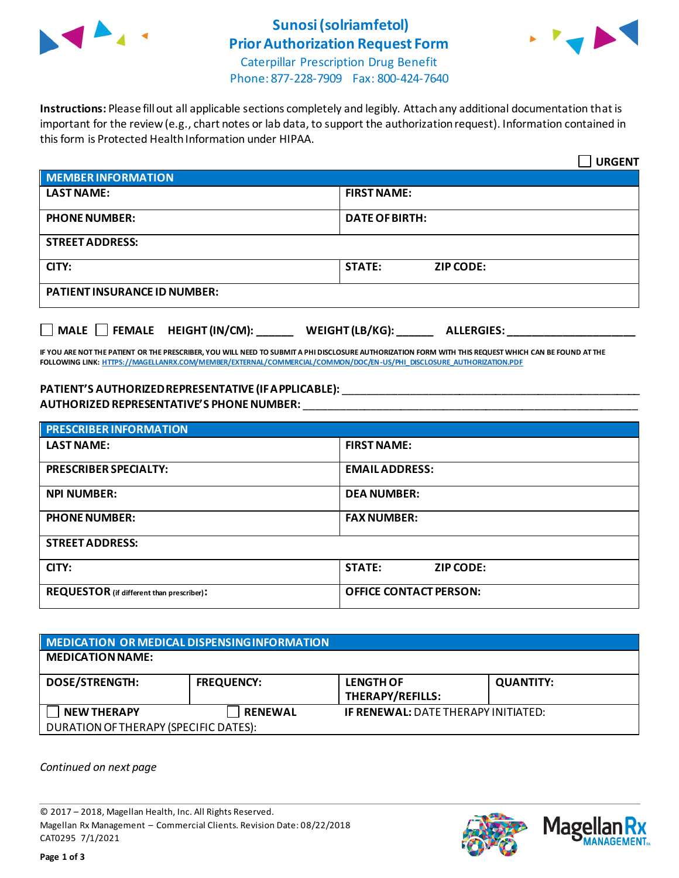

# **Sunosi (solriamfetol) Prior Authorization Request Form**



Caterpillar Prescription Drug Benefit Phone: 877-228-7909 Fax: 800-424-7640

**Instructions:** Please fill out all applicable sections completely and legibly. Attach any additional documentation that is important for the review (e.g., chart notes or lab data, to support the authorization request). Information contained in this form is Protected Health Information under HIPAA.

|                                                                                   | <b>URGENT</b>                     |  |
|-----------------------------------------------------------------------------------|-----------------------------------|--|
| <b>MEMBER INFORMATION</b>                                                         |                                   |  |
| <b>LAST NAME:</b>                                                                 | <b>FIRST NAME:</b>                |  |
| <b>PHONE NUMBER:</b>                                                              | <b>DATE OF BIRTH:</b>             |  |
| <b>STREET ADDRESS:</b>                                                            |                                   |  |
| CITY:                                                                             | <b>STATE:</b><br><b>ZIP CODE:</b> |  |
| <b>PATIENT INSURANCE ID NUMBER:</b>                                               |                                   |  |
| $\Box$ MALE $\Box$ FEMALE HEIGHT (IN/CM):<br>WEIGHT (LB/KG):<br><b>ALLERGIES:</b> |                                   |  |

**IF YOU ARE NOT THE PATIENT OR THE PRESCRIBER, YOU WILL NEED TO SUBMIT A PHI DISCLOSURE AUTHORIZATION FORM WITH THIS REQUEST WHICH CAN BE FOUND AT THE FOLLOWING LINK[: HTTPS://MAGELLANRX.COM/MEMBER/EXTERNAL/COMMERCIAL/COMMON/DOC/EN-US/PHI\\_DISCLOSURE\\_AUTHORIZATION.PDF](https://magellanrx.com/member/external/commercial/common/doc/en-us/PHI_Disclosure_Authorization.pdf)**

#### **PATIENT'S AUTHORIZED REPRESENTATIVE (IF APPLICABLE):** \_\_\_\_\_\_\_\_\_\_\_\_\_\_\_\_\_\_\_\_\_\_\_\_\_\_\_\_\_\_\_\_\_\_\_\_\_\_\_\_\_\_\_\_\_\_\_\_\_ **AUTHORIZED REPRESENTATIVE'S PHONE NUMBER:** \_\_\_\_\_\_\_\_\_\_\_\_\_\_\_\_\_\_\_\_\_\_\_\_\_\_\_\_\_\_\_\_\_\_\_\_\_\_\_\_\_\_\_\_\_\_\_\_\_\_\_\_\_\_\_

| <b>PRESCRIBER INFORMATION</b>             |                               |  |
|-------------------------------------------|-------------------------------|--|
| <b>LAST NAME:</b>                         | <b>FIRST NAME:</b>            |  |
| <b>PRESCRIBER SPECIALTY:</b>              | <b>EMAIL ADDRESS:</b>         |  |
| <b>NPI NUMBER:</b>                        | <b>DEA NUMBER:</b>            |  |
| <b>PHONE NUMBER:</b>                      | <b>FAX NUMBER:</b>            |  |
| <b>STREET ADDRESS:</b>                    |                               |  |
| CITY:                                     | <b>STATE:</b><br>ZIP CODE:    |  |
| REQUESTOR (if different than prescriber): | <b>OFFICE CONTACT PERSON:</b> |  |

### **MEDICATION OR MEDICAL DISPENSING INFORMATION MEDICATION NAME: DOSE/STRENGTH: FREQUENCY: LENGTH OF THERAPY/REFILLS: QUANTITY: NEW THERAPY RENEWAL IF RENEWAL:** DATE THERAPY INITIATED: DURATION OF THERAPY (SPECIFIC DATES):

*Continued on next page*

© 2017 – 2018, Magellan Health, Inc. All Rights Reserved. Magellan Rx Management – Commercial Clients. Revision Date: 08/22/2018 CAT0295 7/1/2021



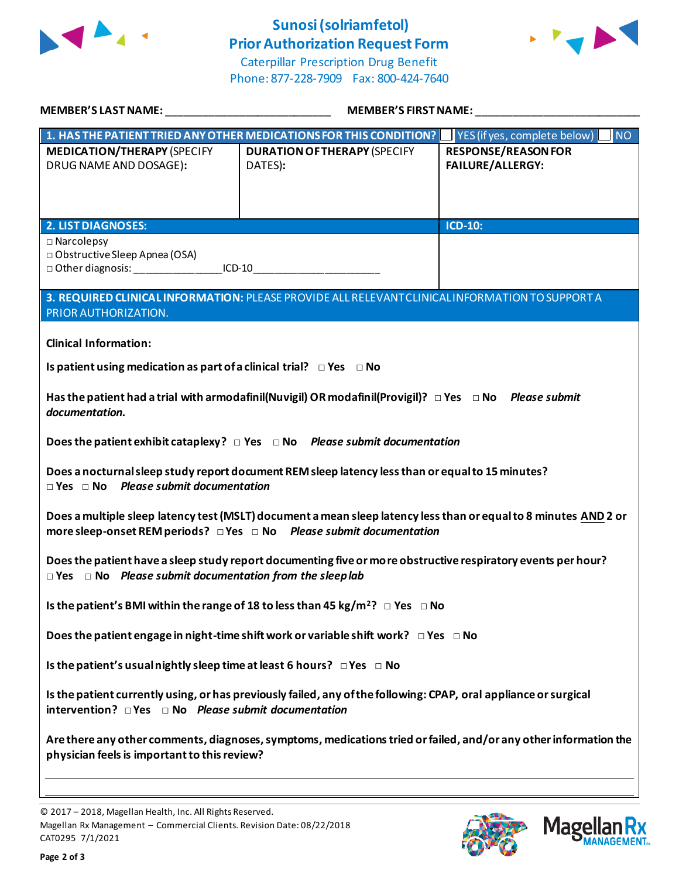

## **Sunosi (solriamfetol) Prior Authorization Request Form**



Caterpillar Prescription Drug Benefit Phone: 877-228-7909 Fax: 800-424-7640

| MEMBER'S LAST NAME: THE STATE OF THE STATE OF THE STATE OF THE STATE OF THE STATE OF THE STATE OF THE STATE OF                                                                                     | <b>MEMBER'S FIRST NAME:</b>                                                                        |                                                       |  |
|----------------------------------------------------------------------------------------------------------------------------------------------------------------------------------------------------|----------------------------------------------------------------------------------------------------|-------------------------------------------------------|--|
|                                                                                                                                                                                                    | 1. HAS THE PATIENT TRIED ANY OTHER MEDICATIONS FOR THIS CONDITION? IF YES (if yes, complete below) | NO                                                    |  |
| <b>MEDICATION/THERAPY (SPECIFY</b><br>DRUG NAME AND DOSAGE):                                                                                                                                       | <b>DURATION OF THERAPY (SPECIFY</b><br>DATES):                                                     | <b>RESPONSE/REASON FOR</b><br><b>FAILURE/ALLERGY:</b> |  |
| <b>2. LIST DIAGNOSES:</b>                                                                                                                                                                          |                                                                                                    | <b>ICD-10:</b>                                        |  |
| $\square$ Narcolepsy<br>□ Obstructive Sleep Apnea (OSA)<br>□ Other diagnosis: ___________________ICD-10___________________________________                                                         |                                                                                                    |                                                       |  |
| 3. REQUIRED CLINICAL INFORMATION: PLEASE PROVIDE ALL RELEVANT CLINICAL INFORMATION TO SUPPORT A<br>PRIOR AUTHORIZATION.                                                                            |                                                                                                    |                                                       |  |
| <b>Clinical Information:</b><br>Is patient using medication as part of a clinical trial? $\Box$ Yes $\Box$ No                                                                                      |                                                                                                    |                                                       |  |
| Has the patient had a trial with armodafinil(Nuvigil) OR modafinil(Provigil)? $\Box$ Yes $\Box$ No Please submit<br>documentation.                                                                 |                                                                                                    |                                                       |  |
| Does the patient exhibit cataplexy? $\Box$ Yes $\Box$ No Please submit documentation                                                                                                               |                                                                                                    |                                                       |  |
| Does a nocturnal sleep study report document REM sleep latency less than or equal to 15 minutes?<br>$\Box$ Yes $\Box$ No Please submit documentation                                               |                                                                                                    |                                                       |  |
| Does a multiple sleep latency test (MSLT) document a mean sleep latency less than or equal to 8 minutes AND 2 or<br>more sleep-onset REM periods? $\Box$ Yes $\Box$ No Please submit documentation |                                                                                                    |                                                       |  |
| Does the patient have a sleep study report documenting five or more obstructive respiratory events per hour?<br>$\Box$ Yes $\Box$ No Please submit documentation from the sleep lab                |                                                                                                    |                                                       |  |
| Is the patient's BMI within the range of 18 to less than 45 kg/m <sup>2</sup> ? $\Box$ Yes $\Box$ No                                                                                               |                                                                                                    |                                                       |  |
| Does the patient engage in night-time shift work or variable shift work? $\Box$ Yes $\Box$ No                                                                                                      |                                                                                                    |                                                       |  |
| Is the patient's usual nightly sleep time at least 6 hours? $\Box$ Yes $\Box$ No                                                                                                                   |                                                                                                    |                                                       |  |
| Is the patient currently using, or has previously failed, any of the following: CPAP, oral appliance or surgical<br>intervention? $\Box$ Yes $\Box$ No Please submit documentation                 |                                                                                                    |                                                       |  |
| Are there any other comments, diagnoses, symptoms, medications tried or failed, and/or any other information the<br>physician feels is important to this review?                                   |                                                                                                    |                                                       |  |
|                                                                                                                                                                                                    |                                                                                                    |                                                       |  |

© 2017 – 2018, Magellan Health, Inc. All Rights Reserved. Magellan Rx Management – Commercial Clients. Revision Date: 08/22/2018 CAT0295 7/1/2021